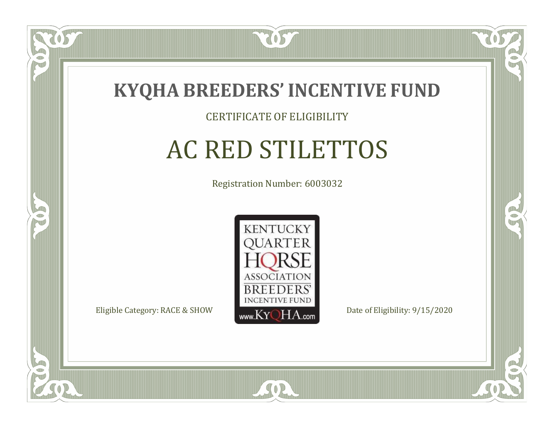

#### CERTIFICATE OF ELIGIBILITY

# AC RED STILETTOS

Registration Number: 6003032



 $SO2$ 

RO

B

 $\Box$ N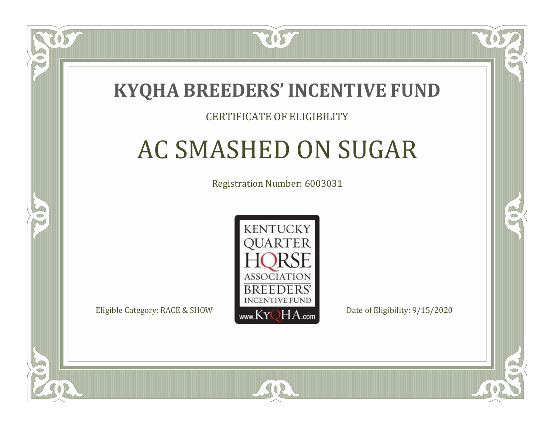

#### CERTIFICATE OF ELIGIBILITY

# AC SMASHED ON SUGAR

Registration Number: 6003031



SOR

RO

P.

 $\Box$ T

S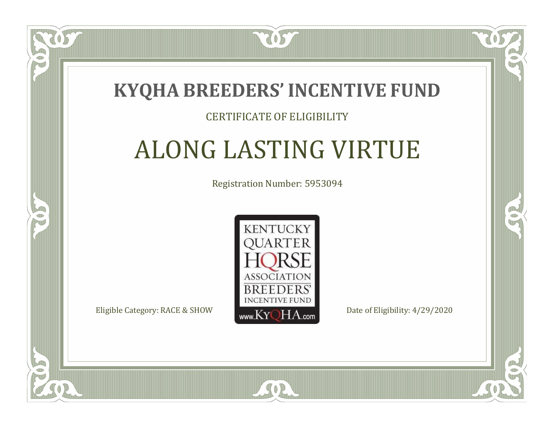### **KYQHA BREEDERS'INCENTIVE FUND**

7057

#### CERTIFICATE OF ELIGIBILITY

# ALONG LASTING VIRTUE

Registration Number: 5953094



SOR

RO

CO.

 $\Box$ N

S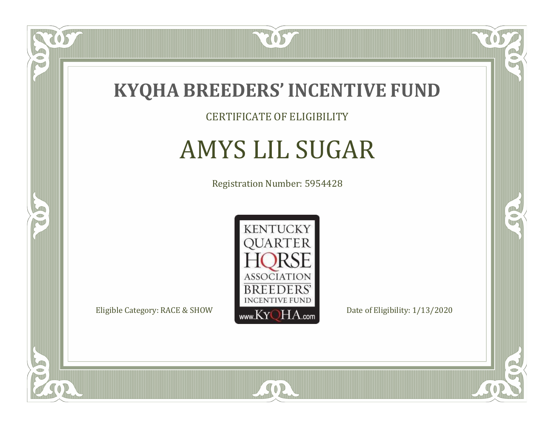

CERTIFICATE OF ELIGIBILITY

# AMYS LIL SUGAR

Registration Number: 5954428



SOR

CO.

 $\rightarrow$ 

 $\delta S$ 

 $\bullet$ NU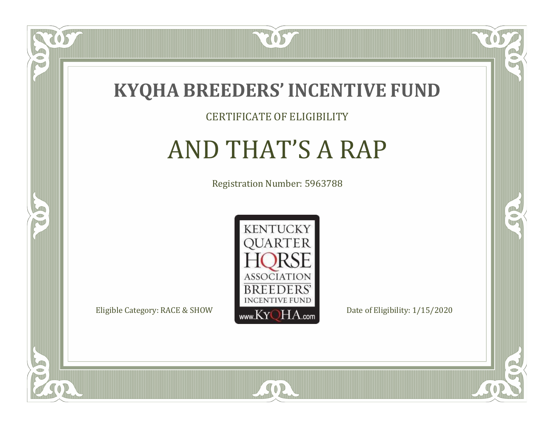

#### CERTIFICATE OF ELIGIBILITY

# AND THAT'S A RAP

Registration Number: 5963788



 $SO2$ 

CO.

 $\rightarrow$ 

 $\Box$ N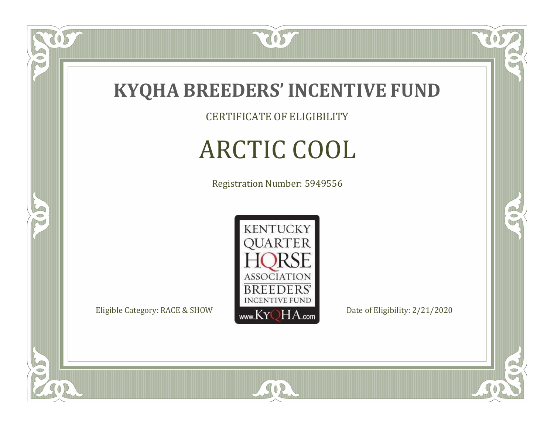

CERTIFICATE OF ELIGIBILITY

# ARCTIC COOL

Registration Number: 5949556



SOR

CO.

 $\rightarrow$ 

057

 $\bullet$ NU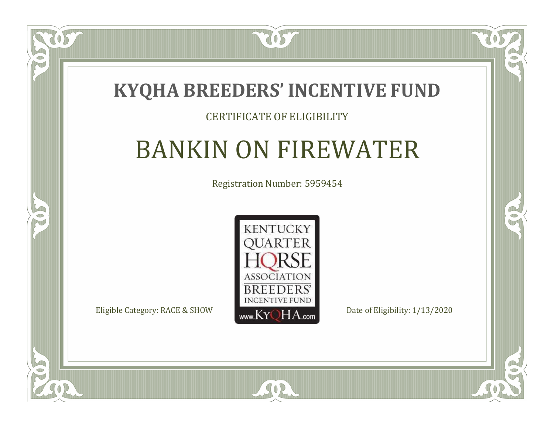### **KYQHA BREEDERS'INCENTIVE FUND**

7057

#### CERTIFICATE OF ELIGIBILITY

# BANKIN ON FIREWATER

Registration Number: 5959454



SOR

CO.

 $\rightarrow$ 

ÒS

 $\blacksquare$ N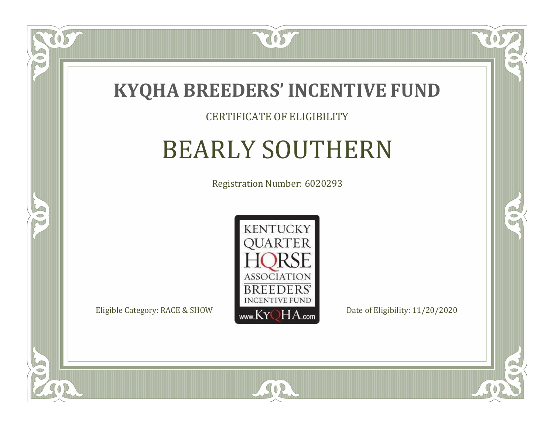

#### CERTIFICATE OF ELIGIBILITY

# BEARLY SOUTHERN

Registration Number: 6020293



CO.

 $\rightarrow$ 

US

 $\Box$ N

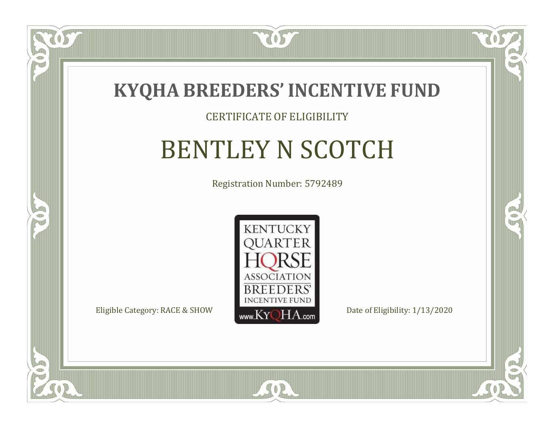

#### CERTIFICATE OF ELIGIBILITY

### BENTLEY N SCOTCH

Registration Number: 5792489



 $SO2$ 

CO.

 $\rightarrow$ 

 $\Box$ NU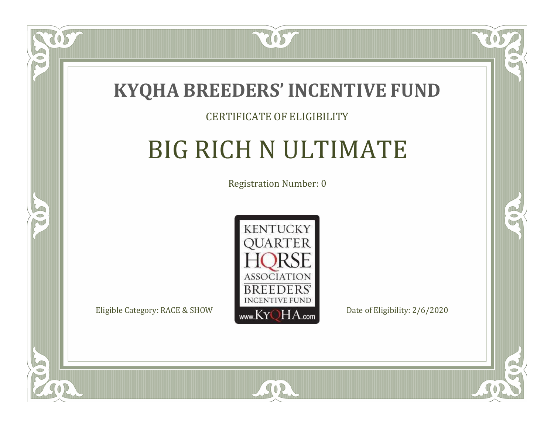

#### CERTIFICATE OF ELIGIBILITY

# BIG RICH N ULTIMATE

Registration Number: 0



SOR

CO.

 $\rightarrow$ 

OS

 $\bullet$ N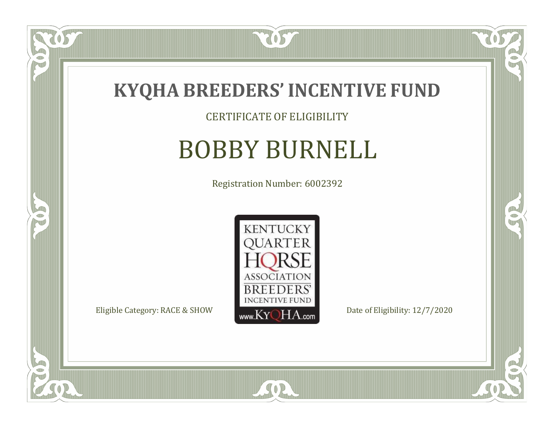

CERTIFICATE OF ELIGIBILITY

# BOBBY BURNELL

Registration Number: 6002392



SOR

 $\mathbb{R}$ 

 $\rightarrow$ 

US

 $\bullet$ NU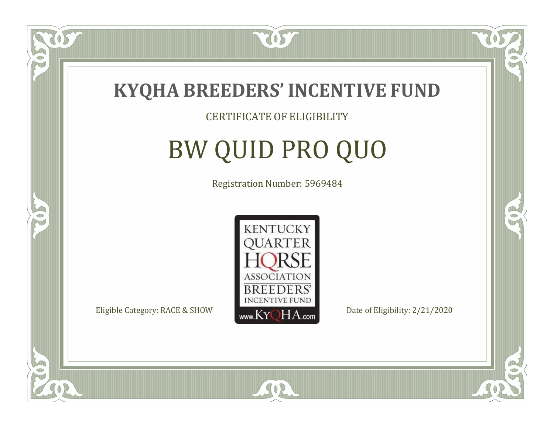

#### CERTIFICATE OF ELIGIBILITY

# BW QUID PRO QUO

Registration Number: 5969484



SOR

 $\mathbb{R}$ 

B

 $\overline{OS}$ 

 $\Box$ NU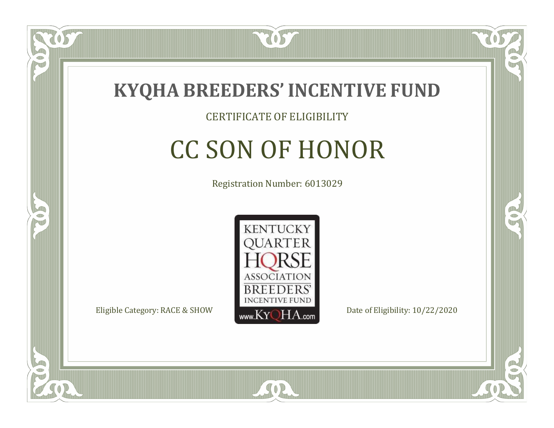

#### CERTIFICATE OF ELIGIBILITY

# CC SON OF HONOR

Registration Number: 6013029



SOR

RO

B

 $\Box$ N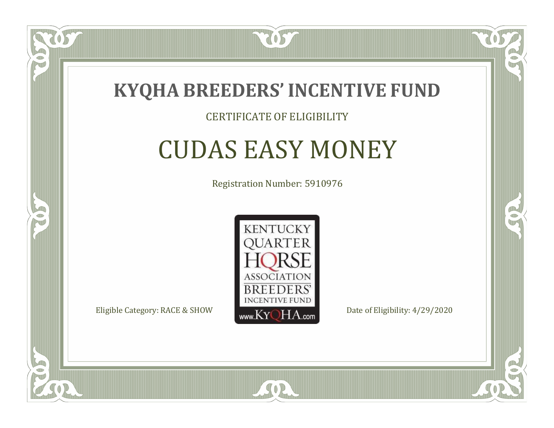

#### CERTIFICATE OF ELIGIBILITY

### CUDAS EASY MONEY

Registration Number: 5910976



 $SO2$ 

CO.

B

 $\Box$ N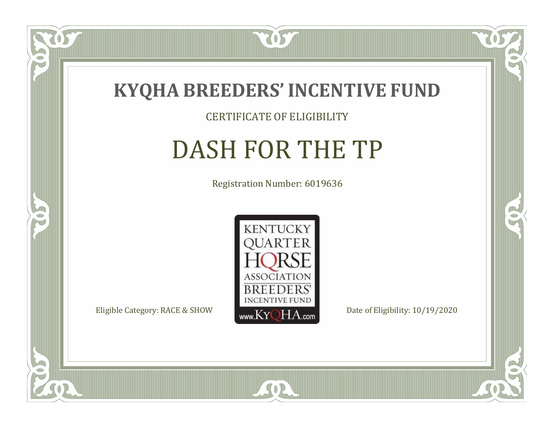

CERTIFICATE OF ELIGIBILITY

# DASH FOR THE TP

Registration Number: 6019636



SOR

CO.

 $\rightarrow$ 

057

 $\Box$ T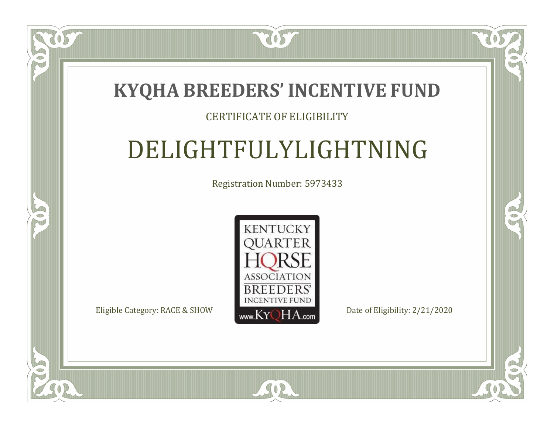### **KYQHA BREEDERS'INCENTIVE FUND**

7057

#### CERTIFICATE OF ELIGIBILITY

# DELIGHTFULYLIGHTNING

Registration Number: 5973433



 $SO2$ 

CO.

 $\rightarrow$ 

 $\blacksquare$ N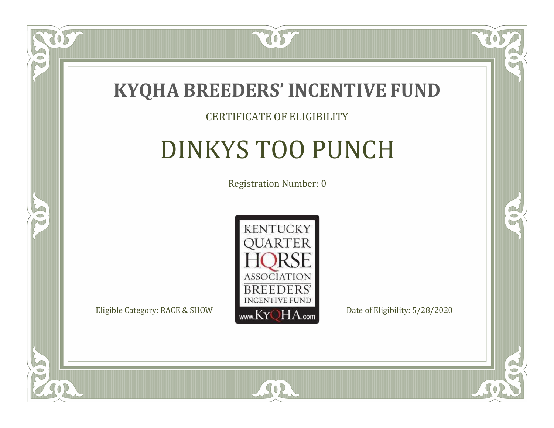

#### CERTIFICATE OF ELIGIBILITY

# DINKYS TOO PUNCH

Registration Number: 0



SOR

US

 $\Box$ NU

5

CO.

 $\rightarrow$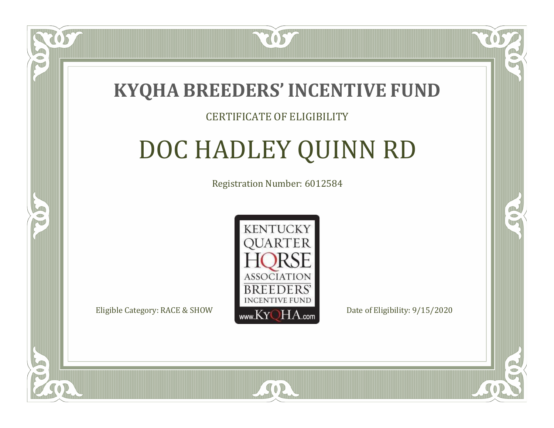

#### CERTIFICATE OF ELIGIBILITY

# DOC HADLEY QUINN RD

Registration Number: 6012584



 $SO<sub>2</sub>$ 

RO

B.

 $\Box$ N

S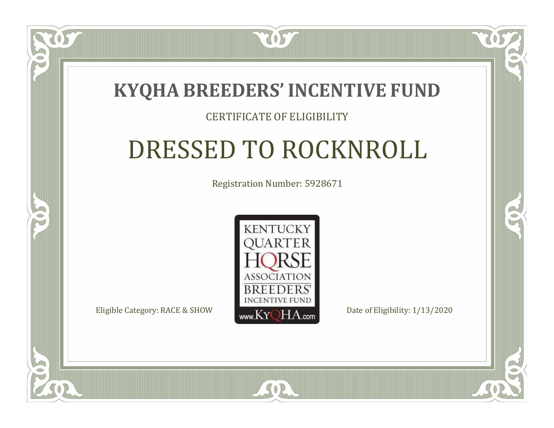

#### CERTIFICATE OF ELIGIBILITY

# DRESSED TO ROCKNROLL

Registration Number: 5928671



SOR

CO.

B

 $\Box$ T

S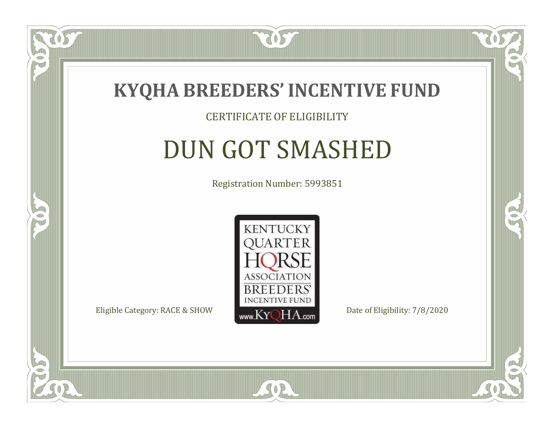

#### CERTIFICATE OF ELIGIBILITY

### DUN GOT SMASHED

Registration Number: 5993851



 $SO2$ 

CO.

B

OS

 $\Box$ NU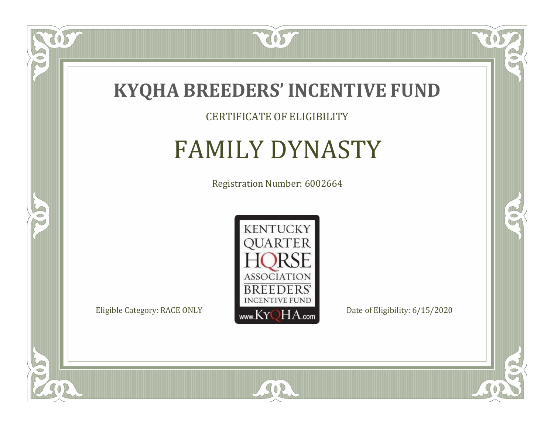

CERTIFICATE OF ELIGIBILITY

### FAMILY DYNASTY

Registration Number: 6002664



SOR

 $\mathbb{R}$ 

 $\rightarrow$ 

 $\overline{OS}$ 

 $\bullet$ NU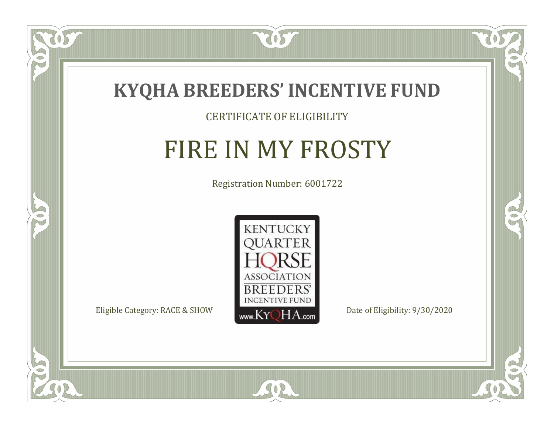

#### CERTIFICATE OF ELIGIBILITY

### FIRE IN MY FROSTY

Registration Number: 6001722



 $SO2$ 

CO.

 $\rightarrow$ 

057

 $\Box$ N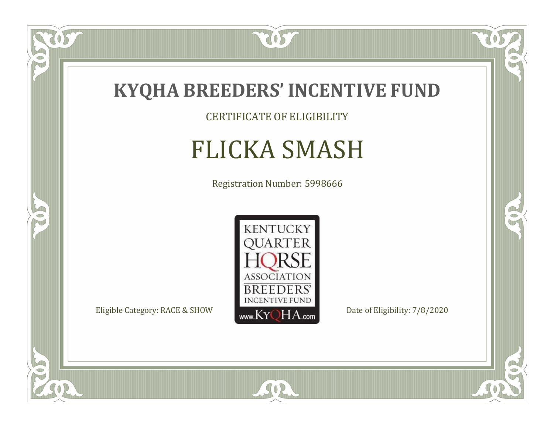

US

 $\bullet$ NU

5

CERTIFICATE OF ELIGIBILITY

# FLICKA SMASH

Registration Number: 5998666



SOR

 $\mathbb{R}$ 

 $\rightarrow$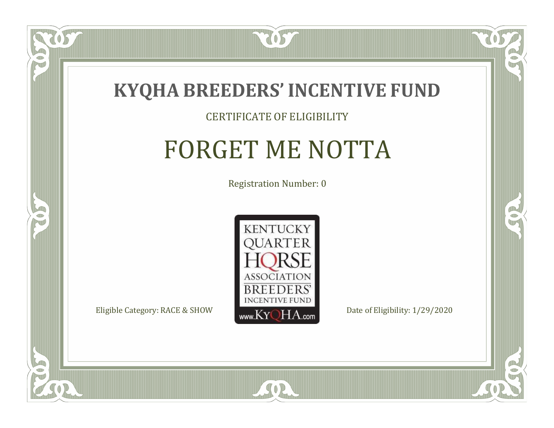

#### CERTIFICATE OF ELIGIBILITY

### FORGET ME NOTTA

Registration Number: 0



SOR

CO.

B

 $\Box$ NU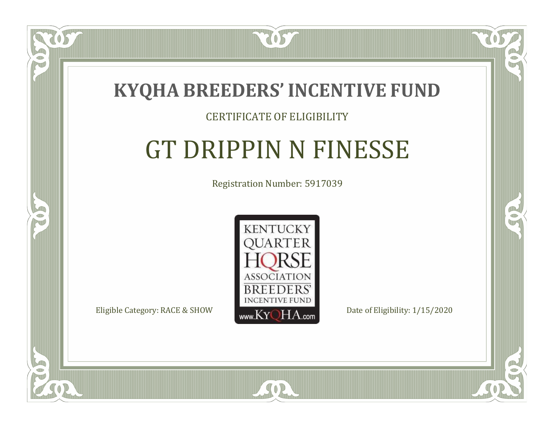

#### CERTIFICATE OF ELIGIBILITY

# GT DRIPPIN N FINESSE

Registration Number: 5917039



SOR

CO.

 $\rightarrow$ 

 $\blacksquare$ N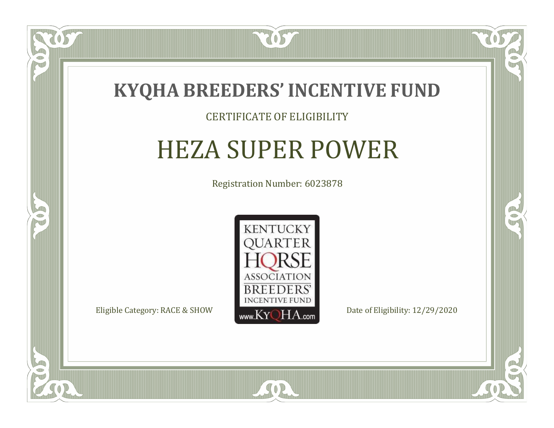

#### CERTIFICATE OF ELIGIBILITY

### HEZA SUPER POWER

Registration Number: 6023878



RO

B

 $\Box$ N

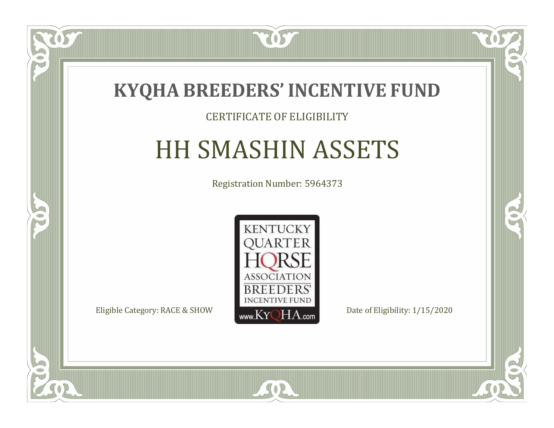

#### CERTIFICATE OF ELIGIBILITY

# HH SMASHIN ASSETS

Registration Number: 5964373



SOR

US

 $\Box$ N

5

CO.

 $\rightarrow$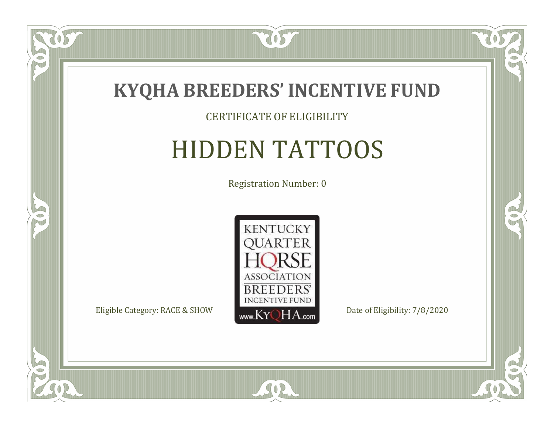

 $\overline{OS}$ 

 $\bullet$ NU

5

#### CERTIFICATE OF ELIGIBILITY

## HIDDEN TATTOOS

Registration Number: 0



SOR

 $\mathbb{R}$ 

 $\rightarrow$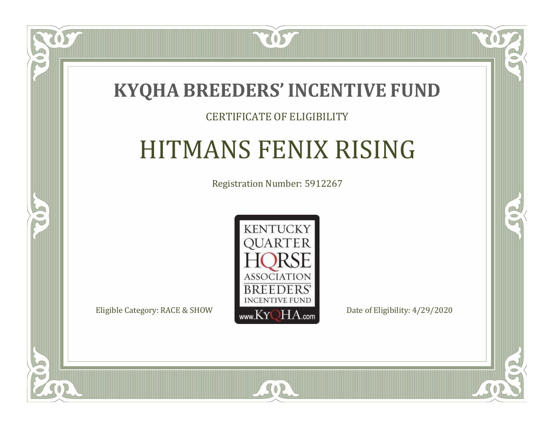

#### CERTIFICATE OF ELIGIBILITY

# HITMANS FENIX RISING

Registration Number: 5912267



SOR

CO.

 $\rightarrow$ 

 $\blacksquare$ N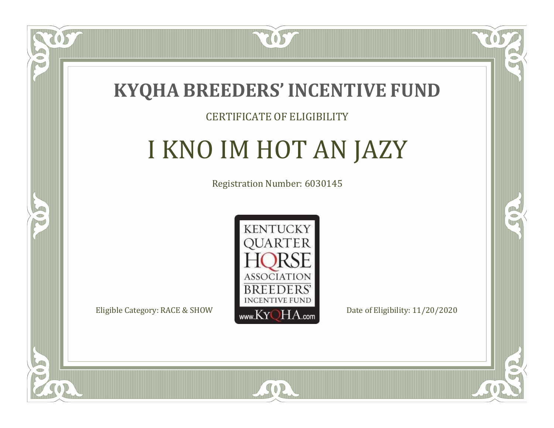

#### CERTIFICATE OF ELIGIBILITY

# I KNO IM HOT AN JAZY

Registration Number: 6030145



RO

B.

 $\Box$ N

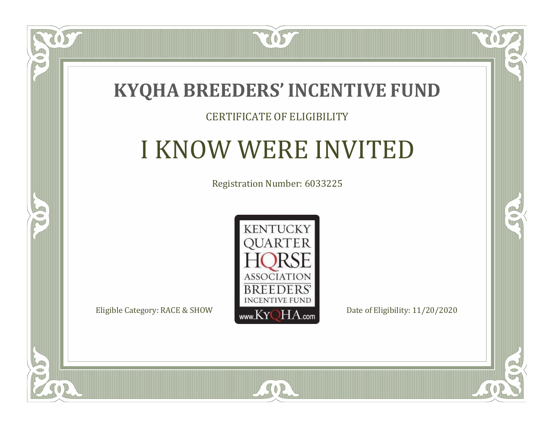

#### CERTIFICATE OF ELIGIBILITY

# I KNOW WERE INVITED

Registration Number: 6033225



CO.

 $\rightarrow$ 

 $\blacksquare$ N

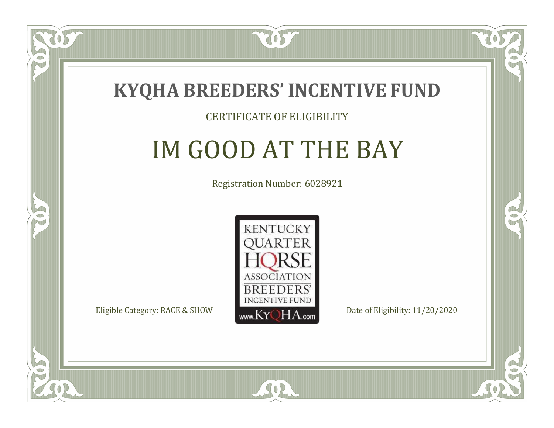

#### CERTIFICATE OF ELIGIBILITY

# IM GOOD AT THE BAY

Registration Number: 6028921



SOR

CO.

B

 $\Box$ N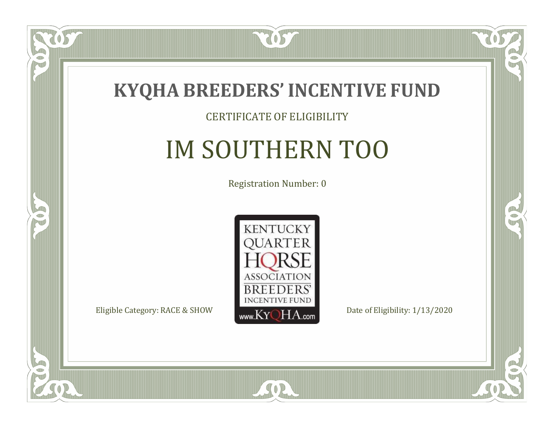

#### CERTIFICATE OF ELIGIBILITY

## IM SOUTHERN TOO

Registration Number: 0



SOR

 $\mathbb{R}$ 

 $\rightarrow$ 

US

 $\bullet$ NU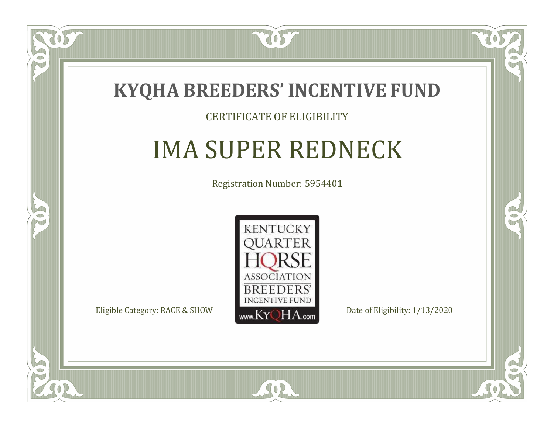

#### CERTIFICATE OF ELIGIBILITY

# IMA SUPER REDNECK

Registration Number: 5954401



SOR

CO.

 $\rightarrow$ 

 $\Box$ N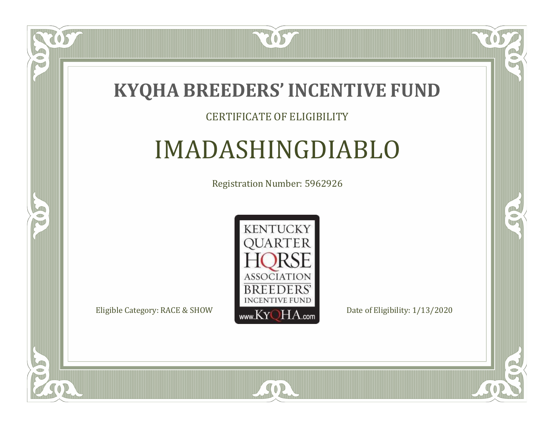

#### CERTIFICATE OF ELIGIBILITY

### IMADASHINGDIABLO

Registration Number: 5962926



SOR

CO.

 $\rightarrow$ 

057

 $\Box$ NU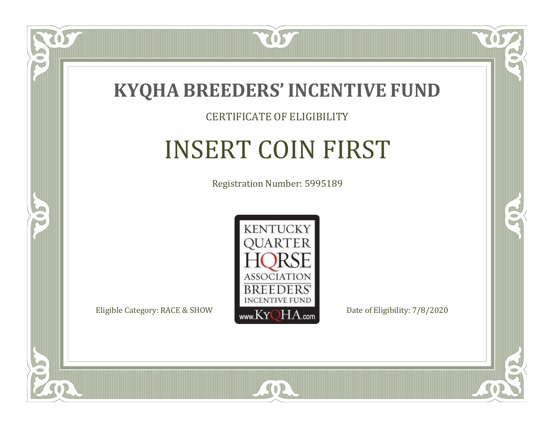

#### CERTIFICATE OF ELIGIBILITY

# INSERT COIN FIRST

Registration Number: 5995189



SOR

CO.

 $\rightarrow$ 

 $\delta S$ 

 $\Box$ N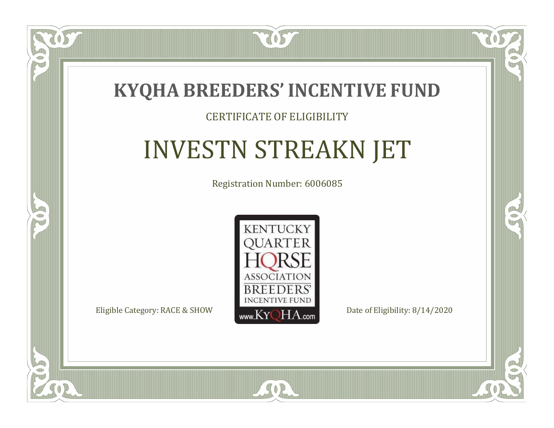

#### CERTIFICATE OF ELIGIBILITY

# INVESTN STREAKN JET

Registration Number: 6006085



SOR

RO

CO.

 $\Box$ N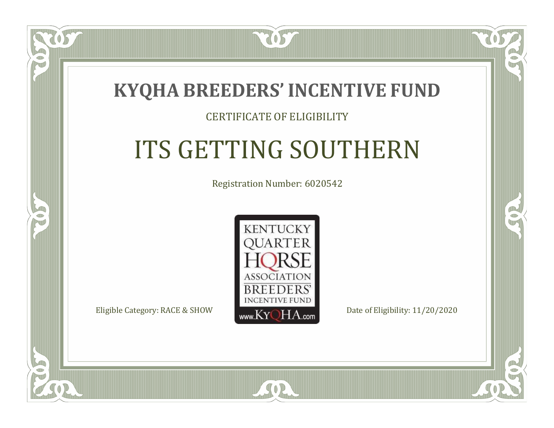

#### CERTIFICATE OF ELIGIBILITY

# ITS GETTING SOUTHERN

Registration Number: 6020542



 $SO<sub>2</sub>$ 

RO

CO.

 $\Box$ N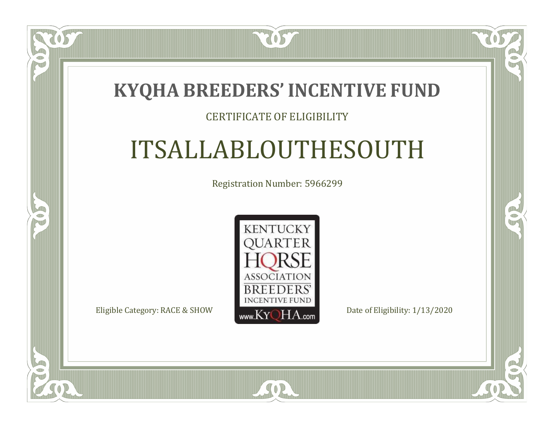7057

#### CERTIFICATE OF ELIGIBILITY

# ITSALLABLOUTHESOUTH

Registration Number: 5966299



SOR

CO.

 $\rightarrow$ 

 $\blacksquare$ N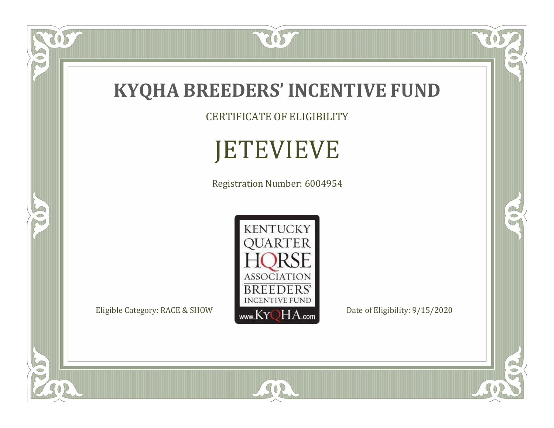

CERTIFICATE OF ELIGIBILITY

# JETEVIEVE

Registration Number: 6004954



SOR

RO

 $\mathbb{R}^2$ 

OST

P

5

 $\overline{\mathbb{C}}$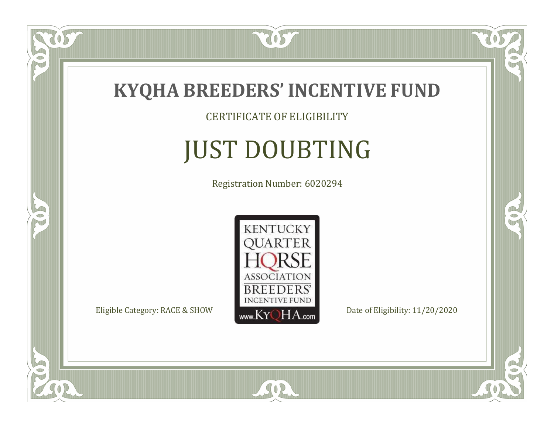

CERTIFICATE OF ELIGIBILITY

# JUST DOUBTING

Registration Number: 6020294



SOR

 $\overline{OS}$ 

 $\bullet$ NU

5

CO.

 $\rightarrow$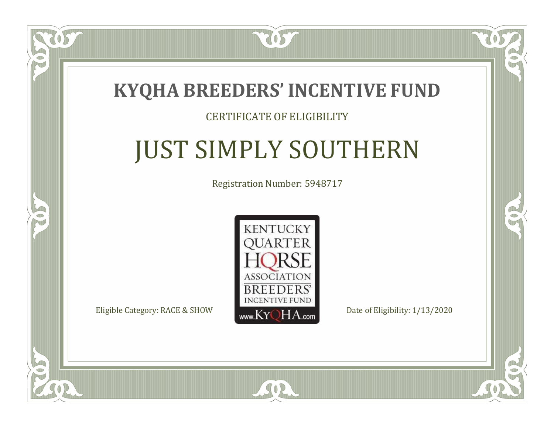

#### CERTIFICATE OF ELIGIBILITY

# JUST SIMPLY SOUTHERN

Registration Number: 5948717



SOR

 $\blacksquare$ N

5

CO.

CO.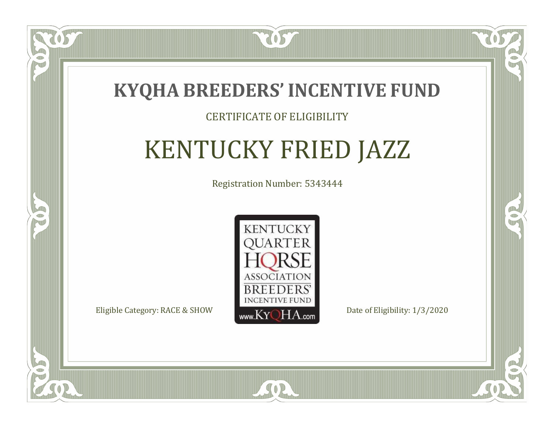

#### CERTIFICATE OF ELIGIBILITY

# KENTUCKY FRIED JAZZ

Registration Number: 5343444



SOR

RO

P.

 $\blacksquare$ N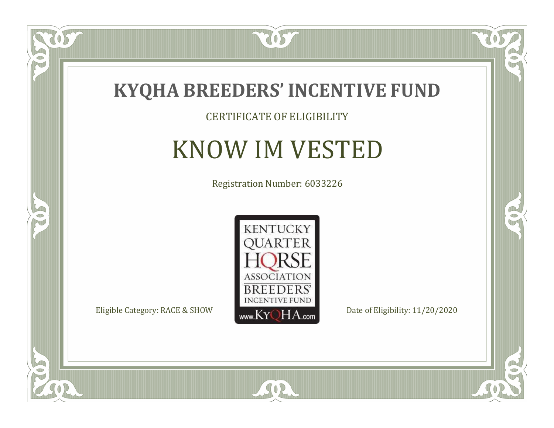

#### CERTIFICATE OF ELIGIBILITY

### KNOW IM VESTED

Registration Number: 6033226



SOR

CO.

 $\rightarrow$ 

 $\delta S$ 

 $\bullet$ NU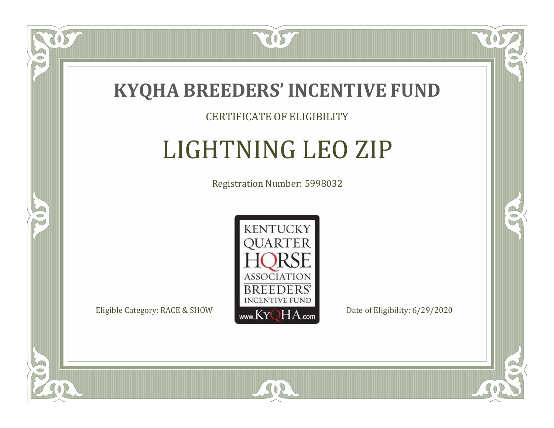

#### CERTIFICATE OF ELIGIBILITY

# LIGHTNING LEO ZIP

Registration Number: 5998032



SOR

CO.

 $\rightarrow$ 

 $\delta S$ 

 $\Box$ T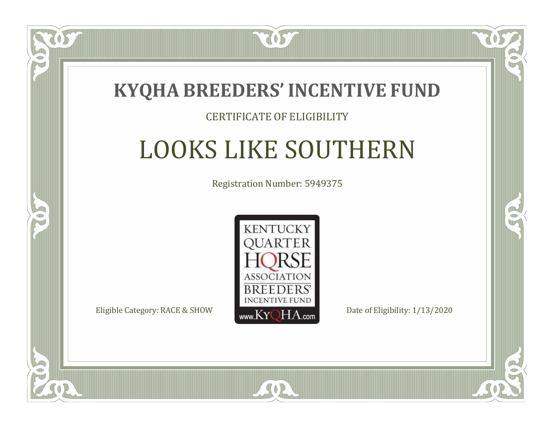

#### CERTIFICATE OF ELIGIBILITY

# LOOKS LIKE SOUTHERN

Registration Number: 5949375



SOR

 $\mathbb{R}^2$ 

 $\rightarrow$ 

 $\Box$ N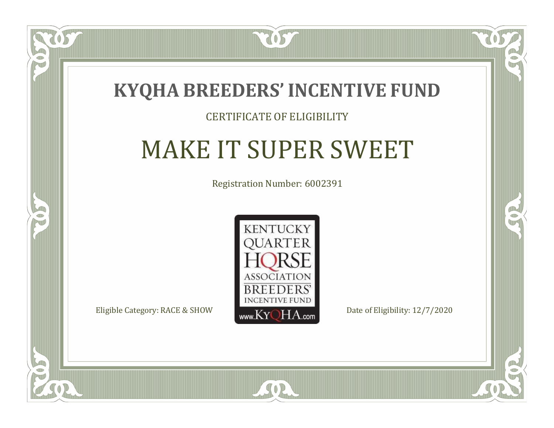

 $\Box$ N

S

#### CERTIFICATE OF ELIGIBILITY

# MAKE IT SUPER SWEET

Registration Number: 6002391

RO

B



SOR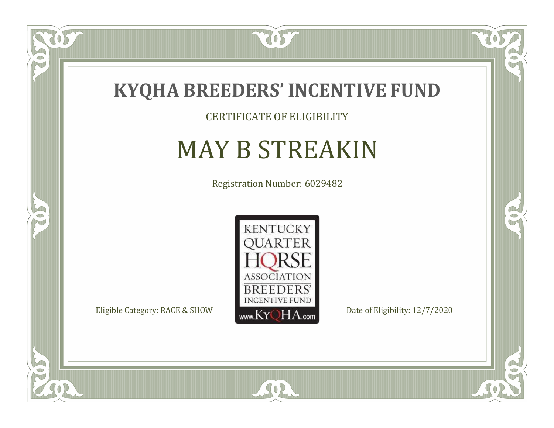

CERTIFICATE OF ELIGIBILITY

# MAY B STREAKIN

Registration Number: 6029482



SOR

US

 $\bullet$ NU

5

 $\mathbb{R}$ 

R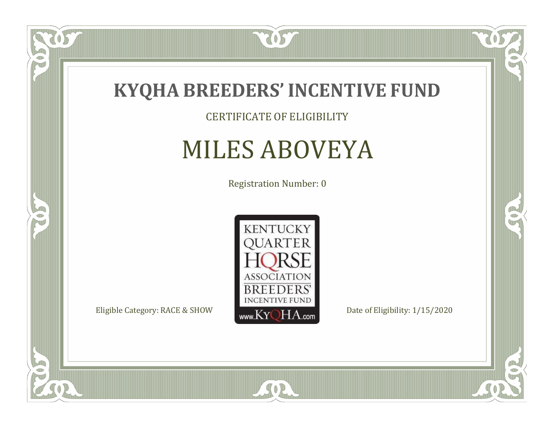

#### CERTIFICATE OF ELIGIBILITY

### MILES ABOVEYA

Registration Number: 0



SOR

OST

 $\bullet$ NU

5

 $\mathbb{R}$ 

 $\rightarrow$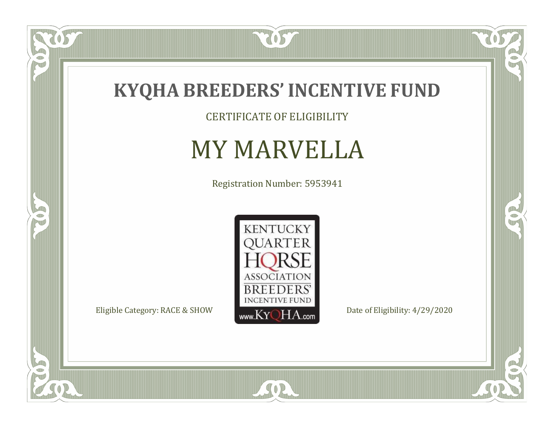

CERTIFICATE OF ELIGIBILITY

### MY MARVELLA

Registration Number: 5953941



SOR

 $\mathbb{R}$ 

 $\mathbb{R}^2$ 

 $\overline{OS}$ 

 $\bullet$ N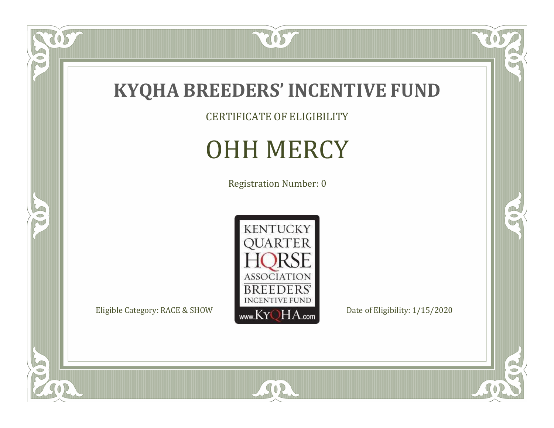

CERTIFICATE OF ELIGIBILITY

### OHH MERCY

Registration Number: 0



SOR

RO

 $\mathbb{R}^2$ 

US.

P

5

 $\overline{\mathbb{C}}$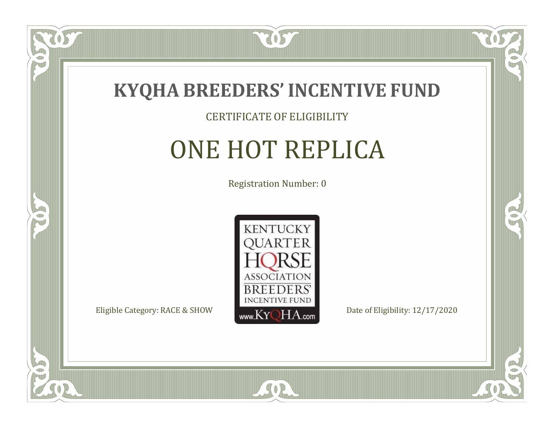

#### CERTIFICATE OF ELIGIBILITY

### ONE HOT REPLICA

Registration Number: 0



SOR

CO.

OR.

US

 $\Box$ NU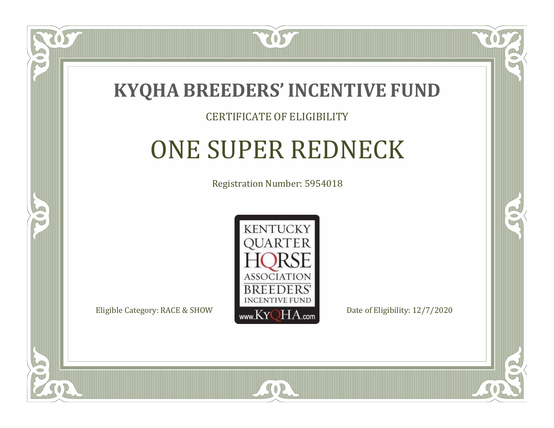

#### CERTIFICATE OF ELIGIBILITY

# ONE SUPER REDNECK

Registration Number: 5954018



SOR

CO.

B

 $\blacksquare$ N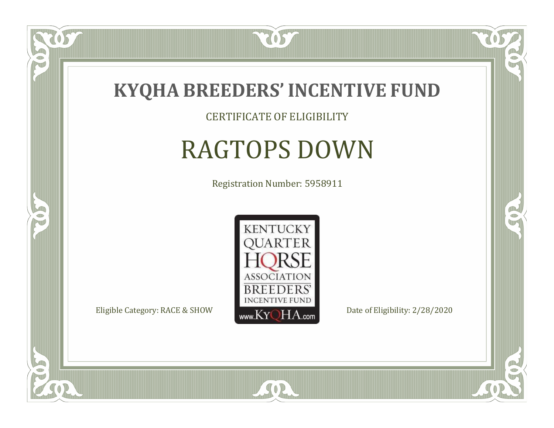

CERTIFICATE OF ELIGIBILITY

# RAGTOPS DOWN

Registration Number: 5958911



SOR

CO.

 $\rightarrow$ 

 $\delta S$ 

 $\bullet$ NU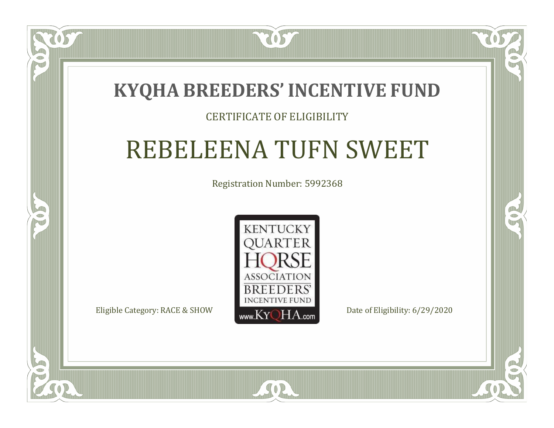2057

#### CERTIFICATE OF ELIGIBILITY

### REBELEENA TUFN SWEET

Registration Number: 5992368



SOR

RO

 $\rightarrow$ 

 $\Box$ N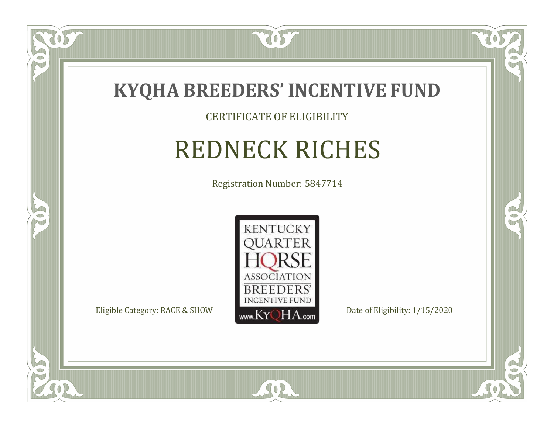

#### CERTIFICATE OF ELIGIBILITY

# REDNECK RICHES

Registration Number: 5847714



SOR

CO.

 $\rightarrow$ 

 $\delta S$ 

 $\bullet$ NU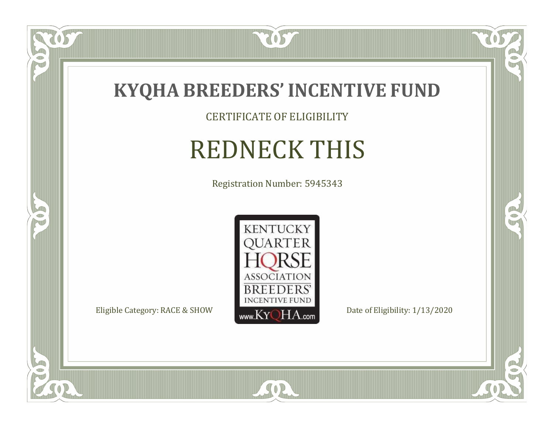

CERTIFICATE OF ELIGIBILITY

# REDNECK THIS

Registration Number: 5945343



SOR

 $\mathbb{R}$ 

 $\mathbb{R}^2$ 

 $\overline{OS}$ 

 $\bullet$ N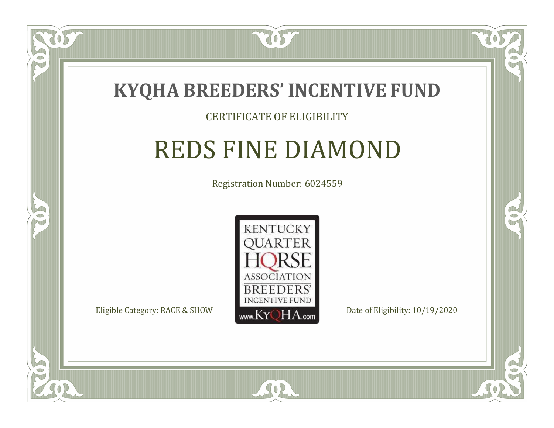

#### CERTIFICATE OF ELIGIBILITY

### REDS FINE DIAMOND

Registration Number: 6024559



 $SO2$ 

CO.

 $\rightarrow$ 

 $\Box$ N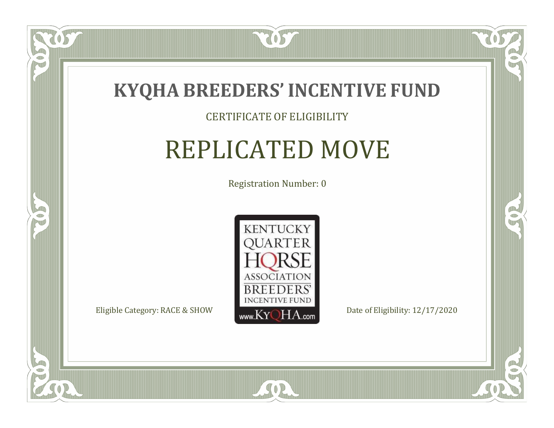

#### CERTIFICATE OF ELIGIBILITY

### REPLICATED MOVE

Registration Number: 0



SOR

CO.

 $\rightarrow$ 

 $\delta S$ 

 $\Box$ NU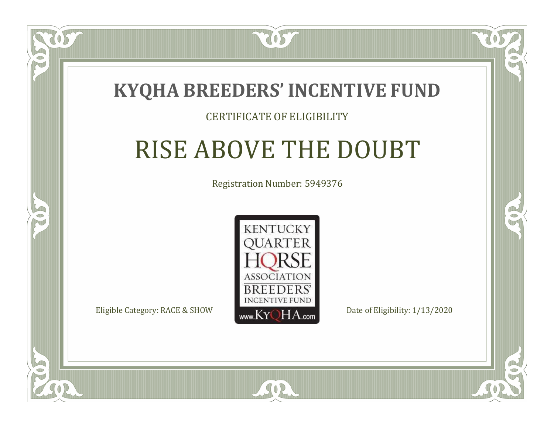

#### CERTIFICATE OF ELIGIBILITY

### RISE ABOVE THE DOUBT

Registration Number: 5949376



SOR

CO.

B

 $\blacksquare$ N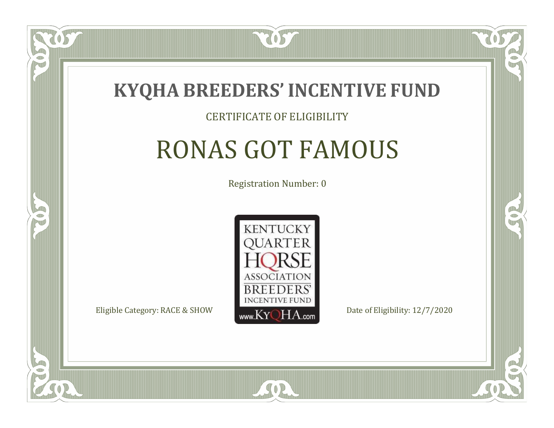

#### CERTIFICATE OF ELIGIBILITY

### RONAS GOT FAMOUS

Registration Number: 0



SOR

RO

B

 $\Box$ N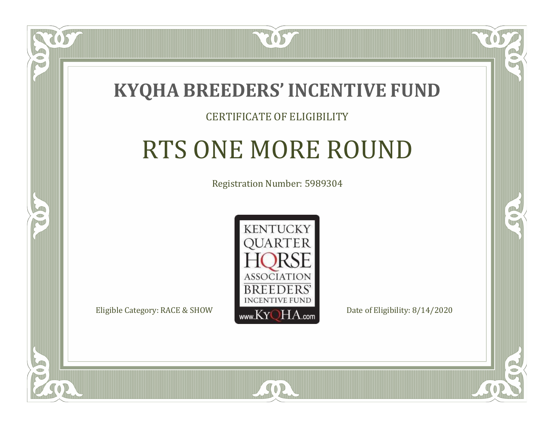

 $\Box$ N

5

#### CERTIFICATE OF ELIGIBILITY

## RTS ONE MORE ROUND

Registration Number: 5989304



SOR

CO.

P.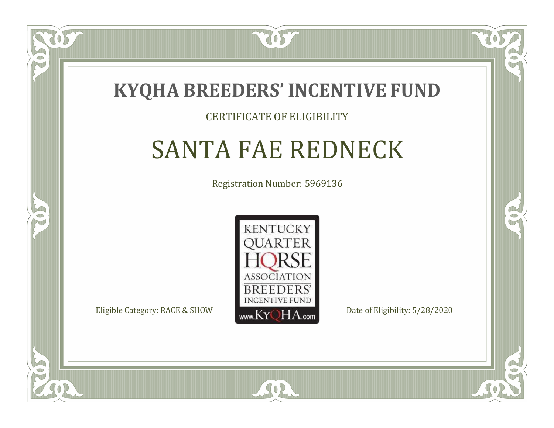

#### CERTIFICATE OF ELIGIBILITY

### SANTA FAE REDNECK

Registration Number: 5969136



SOR

CO.

B

 $\blacksquare$ N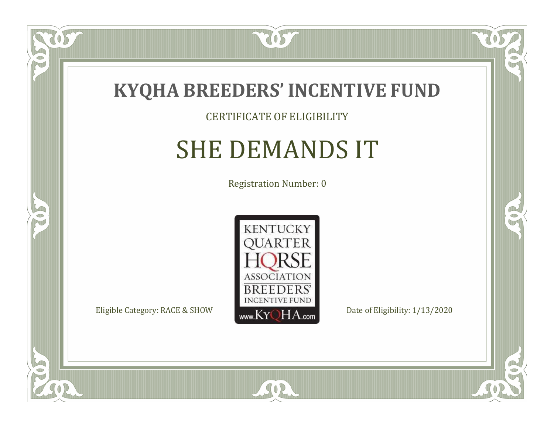

#### CERTIFICATE OF ELIGIBILITY

### SHE DEMANDS IT

Registration Number: 0



SOR

 $\delta S$ 

 $\bullet$ NU

5

CO.

 $\rightarrow$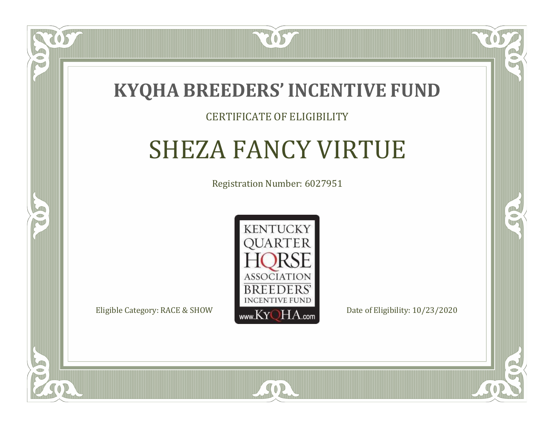

#### CERTIFICATE OF ELIGIBILITY

## SHEZA FANCY VIRTUE

Registration Number: 6027951



SOR

CO.

 $\rightarrow$ 

 $\blacksquare$ N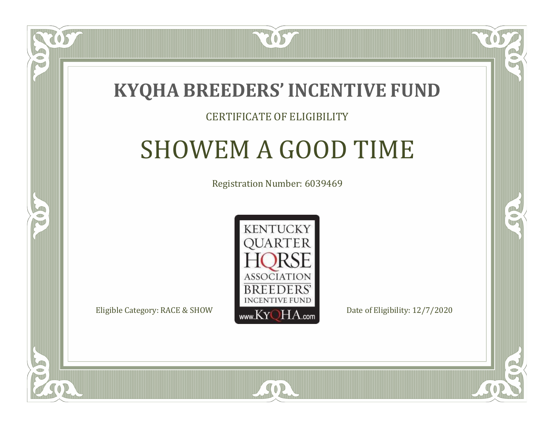

#### CERTIFICATE OF ELIGIBILITY

### SHOWEM A GOOD TIME

Registration Number: 6039469



SOR

RO

P.

 $\Box$ N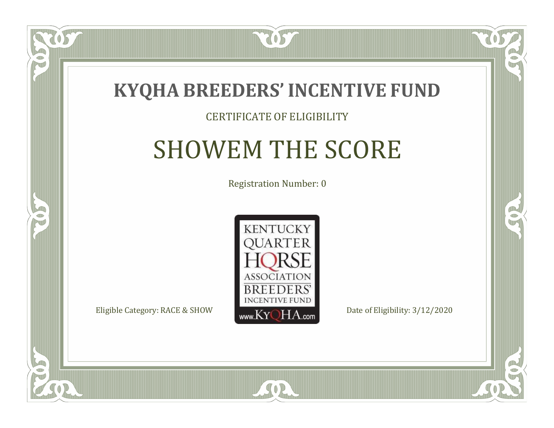

#### CERTIFICATE OF ELIGIBILITY

### SHOWEM THE SCORE

Registration Number: 0



SOR

CO.

B

 $\Box$ N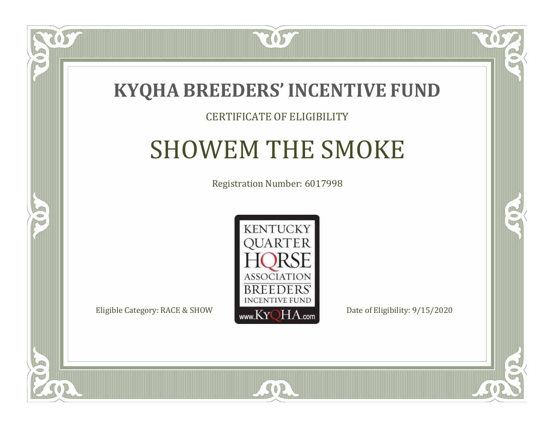

#### CERTIFICATE OF ELIGIBILITY

### SHOWEM THE SMOKE

Registration Number: 6017998



SOR

CO.

B

 $\Box$ N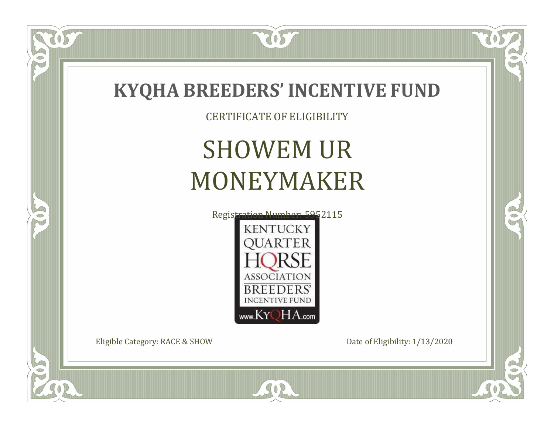

CERTIFICATE OF ELIGIBILITY

# SHOWEM UR MONEYMAKER



SOR

Eligible Category: RACE & SHOW Date of Eligibility: 1/13/2020

 $\delta s$ 

 $\Box$ N

5

 $\Box$ 

 $\mathbb{R}$ 

B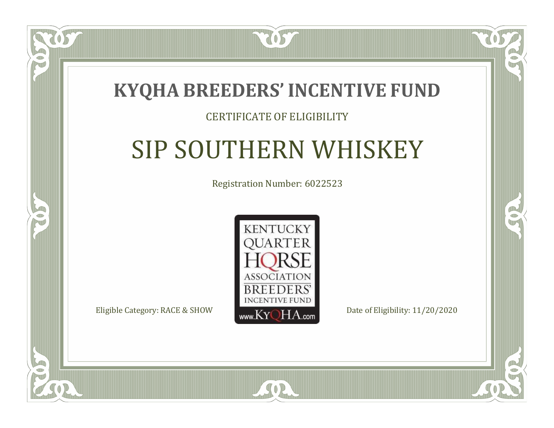7057

#### CERTIFICATE OF ELIGIBILITY

# SIP SOUTHERN WHISKEY

Registration Number: 6022523



SOR

CO.

 $\rightarrow$ 

 $\blacksquare$ N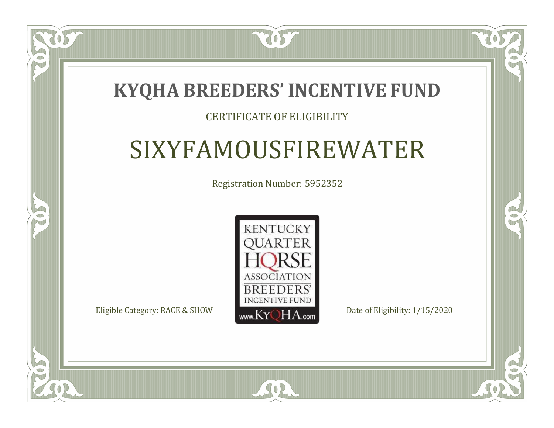2057

#### CERTIFICATE OF ELIGIBILITY

### SIXYFAMOUSFIREWATER

Registration Number: 5952352



 $SO2$ 

CO.

 $\rightarrow$ 

 $\Box$ N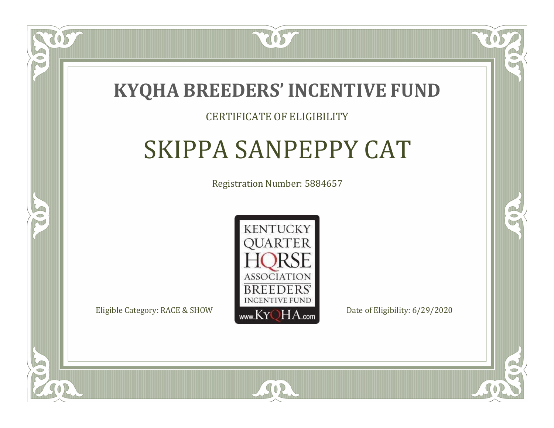

#### CERTIFICATE OF ELIGIBILITY

### SKIPPA SANPEPPY CAT

Registration Number: 5884657



SOR

 $\mathbb{R}^2$ 

 $\rightarrow$ 

 $\Box$ N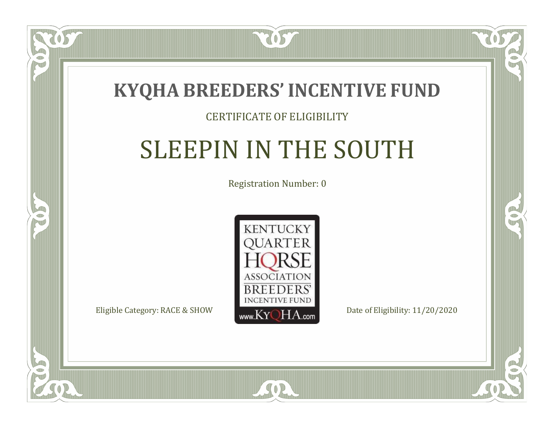

#### CERTIFICATE OF ELIGIBILITY

# SLEEPIN IN THE SOUTH

Registration Number: 0



 $SO2$ 

 $\Box$ N

5

CO.

 $\rightarrow$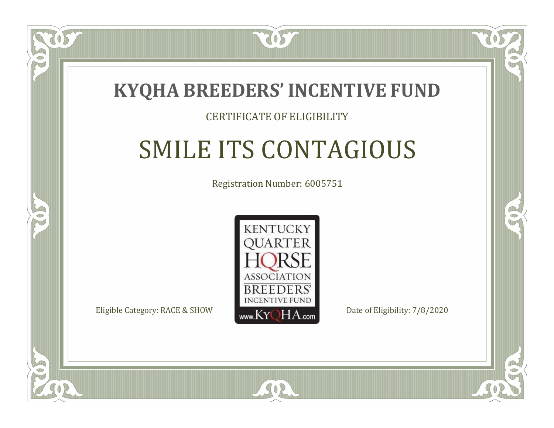

### CERTIFICATE OF ELIGIBILITY

# SMILE ITS CONTAGIOUS

Registration Number: 6005751



SOR

CO.

P.

 $\Box$ T

S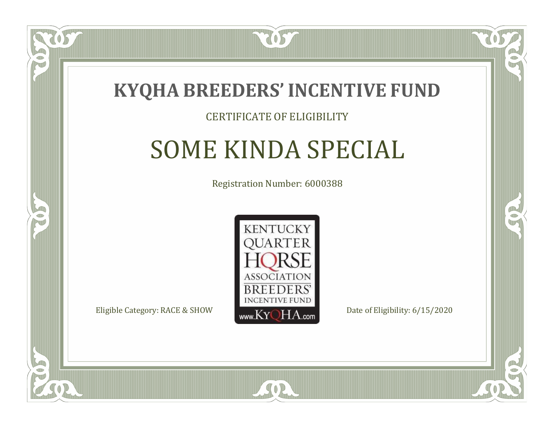

#### CERTIFICATE OF ELIGIBILITY

## SOME KINDA SPECIAL

Registration Number: 6000388



 $SO<sub>2</sub>$ 

RO

CO.

 $\Box$ N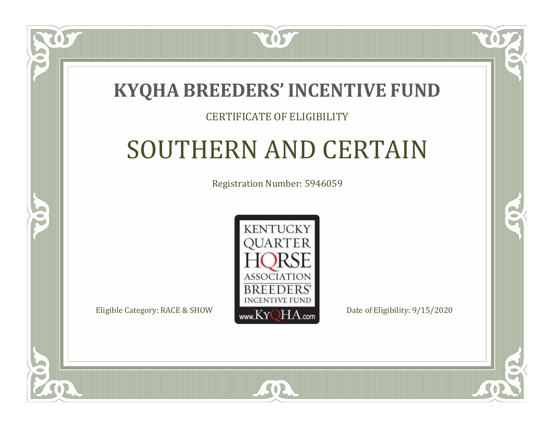### **KYQHA BREEDERS'INCENTIVE FUND**

7057

### CERTIFICATE OF ELIGIBILITY

# SOUTHERN AND CERTAIN

Registration Number: 5946059



SOR

CO.

 $\rightarrow$ 

 $\blacksquare$ N

S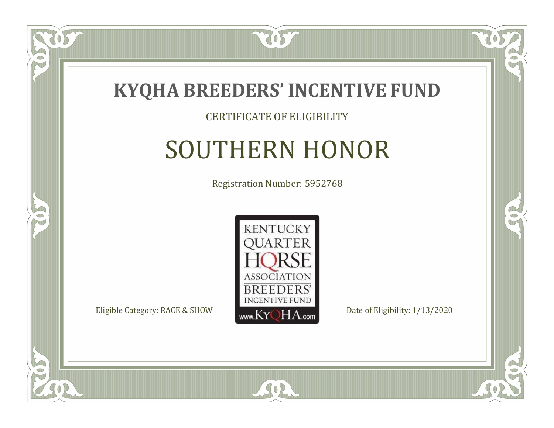

#### CERTIFICATE OF ELIGIBILITY

# SOUTHERN HONOR

Registration Number: 5952768



SOR

US

 $\Box$ NU

5

CO.

 $\rightarrow$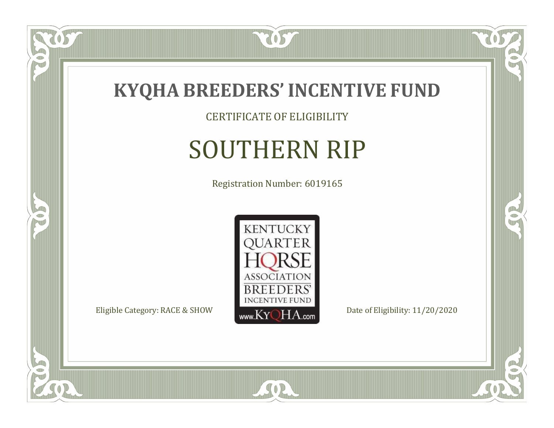

CERTIFICATE OF ELIGIBILITY

# SOUTHERN RIP

Registration Number: 6019165



SOR

CO.

CO.

057

 $\bullet$ NU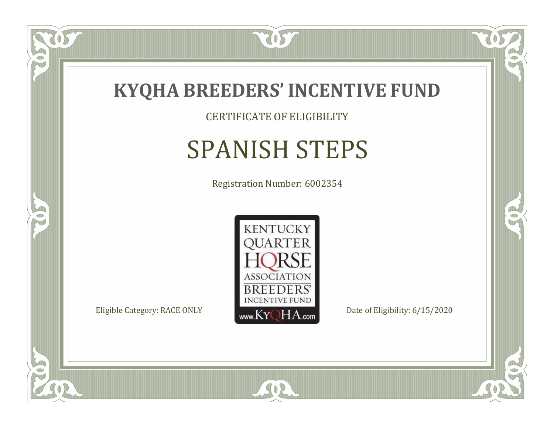

CERTIFICATE OF ELIGIBILITY

# SPANISH STEPS

Registration Number: 6002354



SOR

CO.

 $\rightarrow$ 

US

 $\bullet$ NU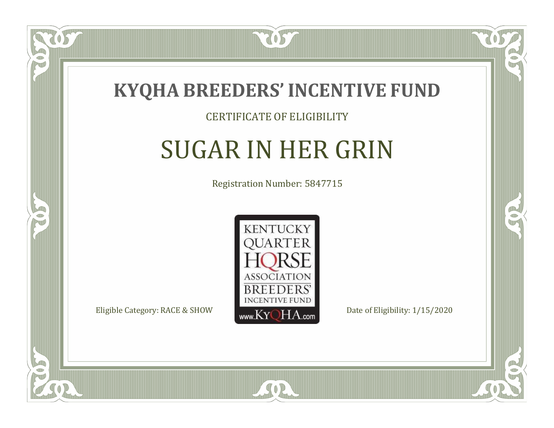

#### CERTIFICATE OF ELIGIBILITY

# SUGAR IN HER GRIN

Registration Number: 5847715



SOR

RO

B

 $\Box$ N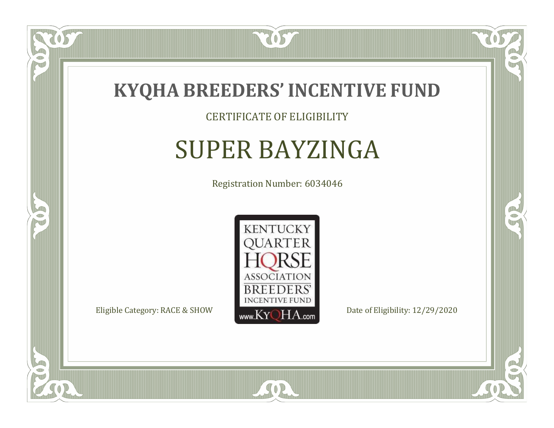

### CERTIFICATE OF ELIGIBILITY

# SUPER BAYZINGA

Registration Number: 6034046



RO

B

 $\Box$ NU

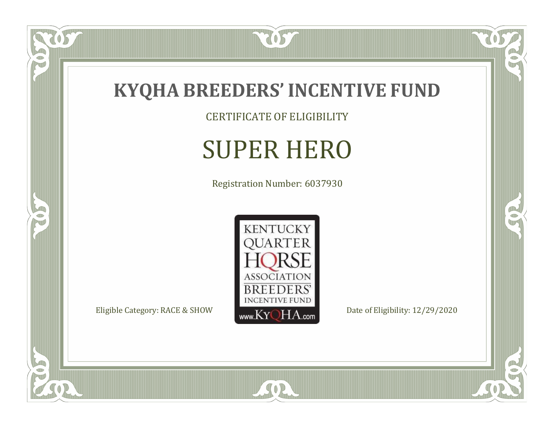

CERTIFICATE OF ELIGIBILITY

# SUPER HERO

Registration Number: 6037930



SOR

 $\mathbb{R}$ 

 $\mathbb{R}^2$ 

 $\overline{OS}$ 

 $\bullet$ N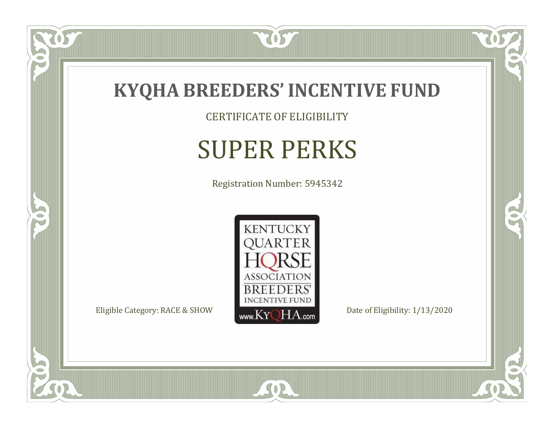

CERTIFICATE OF ELIGIBILITY

# SUPER PERKS

Registration Number: 5945342



SOR

 $\mathbb{R}$ 

CO.

tos

 $\bullet$ N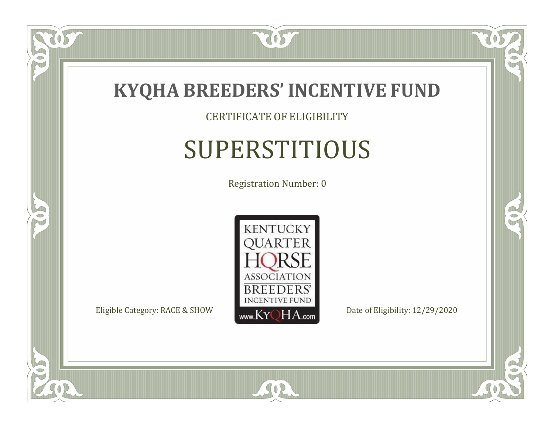

### CERTIFICATE OF ELIGIBILITY

# SUPERSTITIOUS

Registration Number: 0



SOR

CO.

 $\rightarrow$ 

 $\delta S$ 

 $\bullet$ NU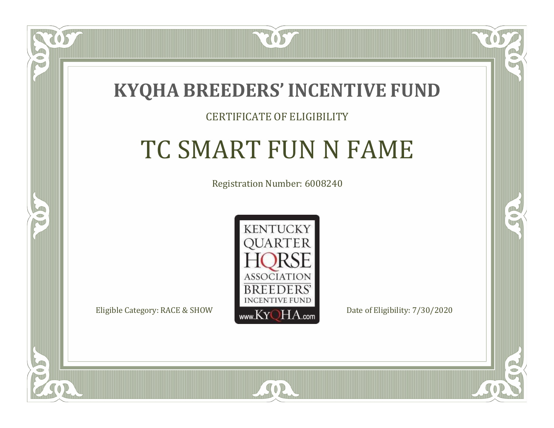

### CERTIFICATE OF ELIGIBILITY

# TC SMART FUN N FAME

Registration Number: 6008240



 $SO<sub>2</sub>$ 

RO

P.

 $\Box$ N

S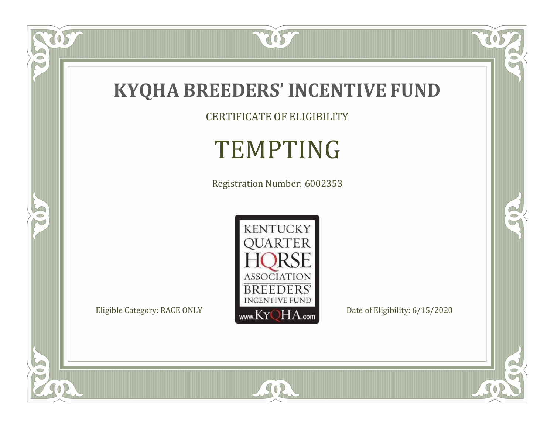

CERTIFICATE OF ELIGIBILITY

# TEMPTING

Registration Number: 6002353



SOR

 $\mathbb{R}$ 

 $\mathbb{R}^2$ 

US.

 $\bullet$ N

5

 $\Box$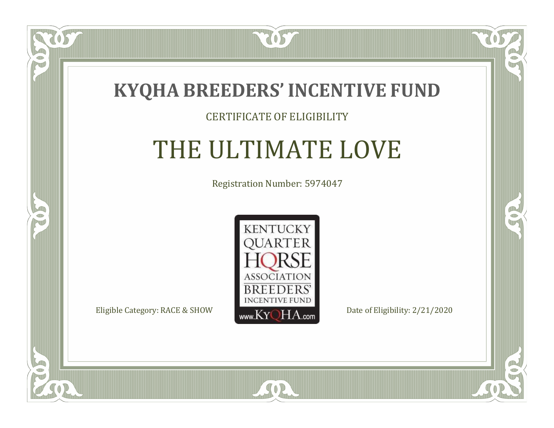

### CERTIFICATE OF ELIGIBILITY

## THE ULTIMATE LOVE

Registration Number: 5974047



 $SO2$ 

CO.

 $\rightarrow$ 

ULLE

 $\Box$ NU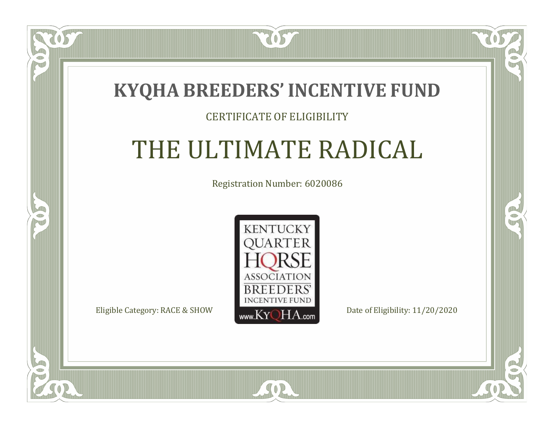### **KYQHA BREEDERS'INCENTIVE FUND**

7057

### CERTIFICATE OF ELIGIBILITY

# THE ULTIMATE RADICAL

Registration Number: 6020086



SOR

RO

B

 $\Box$ T

S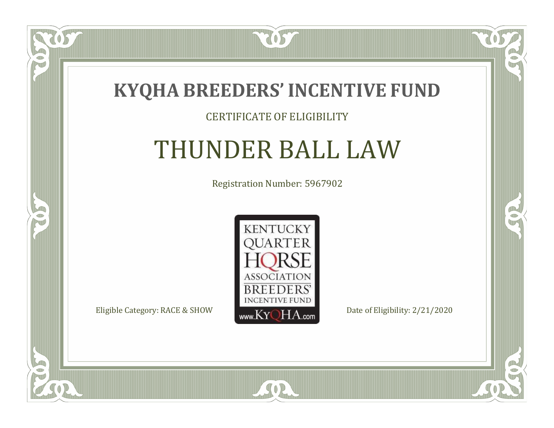

#### CERTIFICATE OF ELIGIBILITY

### THUNDER BALL LAW

Registration Number: 5967902



CO.

 $\rightarrow$ 

US

 $\bullet$ NU

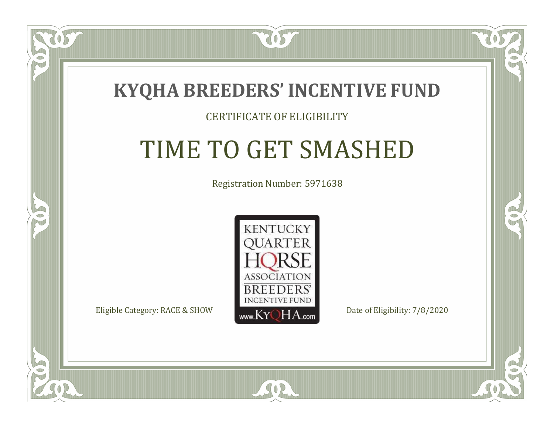

#### CERTIFICATE OF ELIGIBILITY

# TIME TO GET SMASHED

Registration Number: 5971638



SOR

CO.

CO.

 $\Box$ N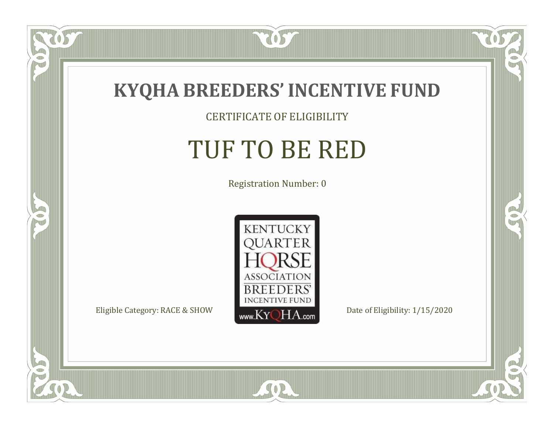

 $\overline{OS}$ 

 $\bullet$ N

5

### CERTIFICATE OF ELIGIBILITY

# TUF TO BE RED

Registration Number: 0



SOR

 $\mathbb{R}$ 

 $\rightarrow$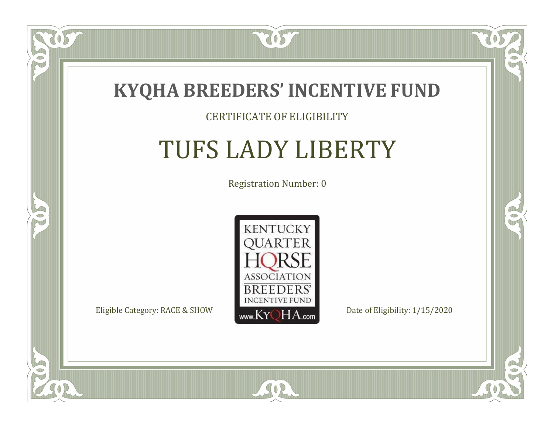

#### CERTIFICATE OF ELIGIBILITY

## TUFS LADY LIBERTY

Registration Number: 0



SOR

 $\delta S$ 

 $\bullet$ NU

5

 $\mathbb{R}$ 

 $\rightarrow$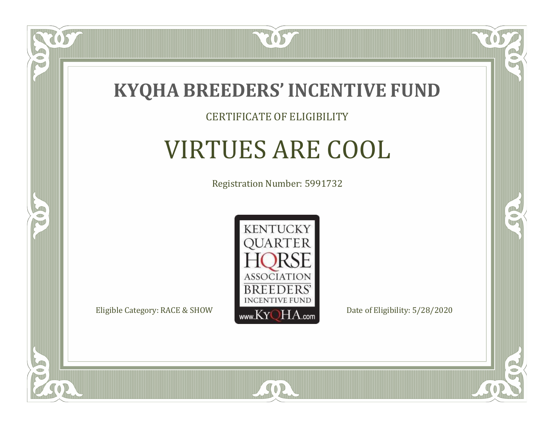

#### CERTIFICATE OF ELIGIBILITY

# VIRTUES ARE COOL

Registration Number: 5991732



SOR

CO.

B

 $\delta S$ 

 $\Box$ NU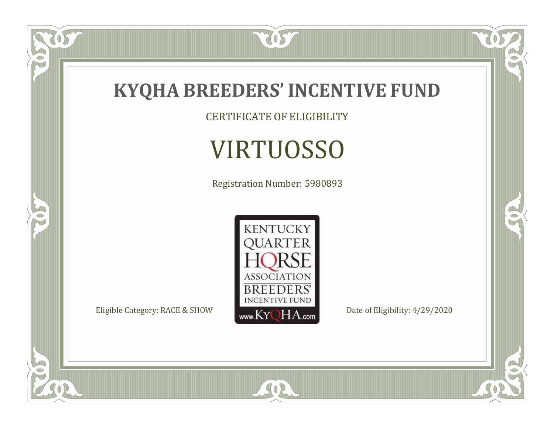

CERTIFICATE OF ELIGIBILITY

# VIRTUOSSO

Registration Number: 5980893



SOR

 $\mathbb{R}$ 

 $\mathbb{R}^2$ 

US.

 $\bullet$ N

5

 $\Box$